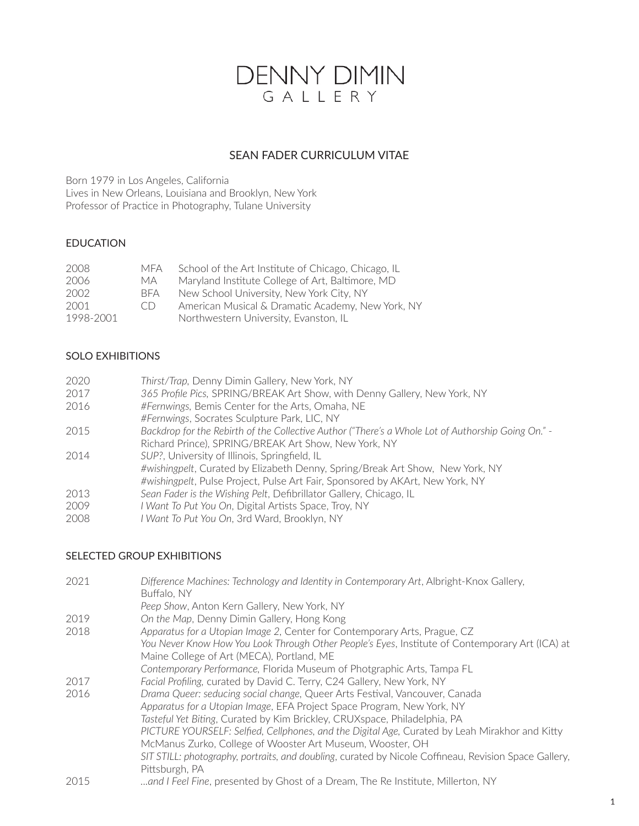# DENNY DIMIN<br>GALLERY

## SEAN FADER CURRICULUM VITAE

Born 1979 in Los Angeles, California Lives in New Orleans, Louisiana and Brooklyn, New York Professor of Practice in Photography, Tulane University

## EDUCATION

| 2008      | MFA  | School of the Art Institute of Chicago, Chicago, IL |
|-----------|------|-----------------------------------------------------|
| 2006      | MA.  | Maryland Institute College of Art, Baltimore, MD    |
| 2002      | BFA. | New School University, New York City, NY            |
| 2001      | CD   | American Musical & Dramatic Academy, New York, NY   |
| 1998-2001 |      | Northwestern University, Evanston, IL               |

## SOLO EXHIBITIONS

| 2020 | Thirst/Trap, Denny Dimin Gallery, New York, NY                                                     |
|------|----------------------------------------------------------------------------------------------------|
| 2017 | 365 Profile Pics, SPRING/BREAK Art Show, with Denny Gallery, New York, NY                          |
| 2016 | #Fernwings, Bemis Center for the Arts, Omaha, NE                                                   |
|      | #Fernwings, Socrates Sculpture Park, LIC, NY                                                       |
| 2015 | Backdrop for the Rebirth of the Collective Author ("There's a Whole Lot of Authorship Going On." - |
|      | Richard Prince), SPRING/BREAK Art Show, New York, NY                                               |
| 2014 | SUP?, University of Illinois, Springfield, IL                                                      |
|      | #wishingpelt, Curated by Elizabeth Denny, Spring/Break Art Show, New York, NY                      |
|      | #wishingpelt, Pulse Project, Pulse Art Fair, Sponsored by AKArt, New York, NY                      |
| 2013 | Sean Fader is the Wishing Pelt, Defibrillator Gallery, Chicago, IL                                 |
| 2009 | I Want To Put You On, Digital Artists Space, Troy, NY                                              |
| 2008 | I Want To Put You On, 3rd Ward, Brooklyn, NY                                                       |

## SELECTED GROUP EXHIBITIONS

| 2021 | Difference Machines: Technology and Identity in Contemporary Art, Albright-Knox Gallery,<br>Buffalo, NY |
|------|---------------------------------------------------------------------------------------------------------|
|      | Peep Show, Anton Kern Gallery, New York, NY                                                             |
| 2019 | On the Map, Denny Dimin Gallery, Hong Kong                                                              |
| 2018 | Apparatus for a Utopian Image 2, Center for Contemporary Arts, Prague, CZ                               |
|      | You Never Know How You Look Through Other People's Eyes, Institute of Contemporary Art (ICA) at         |
|      | Maine College of Art (MECA), Portland, ME                                                               |
|      | Contemporary Performance, Florida Museum of Photgraphic Arts, Tampa FL                                  |
| 2017 | Facial Profiling, curated by David C. Terry, C24 Gallery, New York, NY                                  |
| 2016 | Drama Queer: seducing social change, Queer Arts Festival, Vancouver, Canada                             |
|      | Apparatus for a Utopian Image, EFA Project Space Program, New York, NY                                  |
|      | Tasteful Yet Biting, Curated by Kim Brickley, CRUXspace, Philadelphia, PA                               |
|      | PICTURE YOURSELF: Selfied, Cellphones, and the Digital Age, Curated by Leah Mirakhor and Kitty          |
|      | McManus Zurko, College of Wooster Art Museum, Wooster, OH                                               |
|      | SIT STILL: photography, portraits, and doubling, curated by Nicole Coffineau, Revision Space Gallery,   |
|      | Pittsburgh, PA                                                                                          |
| 2015 | and I Feel Fine, presented by Ghost of a Dream, The Re Institute, Millerton, NY                         |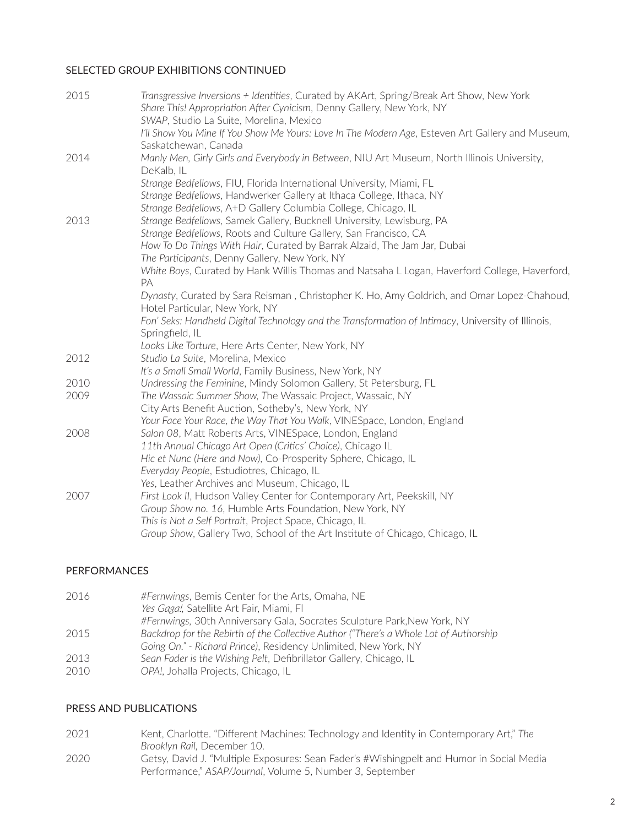### SELECTED GROUP EXHIBITIONS CONTINUED

| 2015 | Transgressive Inversions + Identities, Curated by AKArt, Spring/Break Art Show, New York<br>Share This! Appropriation After Cynicism, Denny Gallery, New York, NY<br>SWAP, Studio La Suite, Morelina, Mexico |
|------|--------------------------------------------------------------------------------------------------------------------------------------------------------------------------------------------------------------|
|      | I'll Show You Mine If You Show Me Yours: Love In The Modern Age, Esteven Art Gallery and Museum,                                                                                                             |
|      | Saskatchewan, Canada                                                                                                                                                                                         |
| 2014 | Manly Men, Girly Girls and Everybody in Between, NIU Art Museum, North Illinois University,<br>DeKalb, IL                                                                                                    |
|      | Strange Bedfellows, FIU, Florida International University, Miami, FL                                                                                                                                         |
|      | Strange Bedfellows, Handwerker Gallery at Ithaca College, Ithaca, NY                                                                                                                                         |
|      | Strange Bedfellows, A+D Gallery Columbia College, Chicago, IL                                                                                                                                                |
| 2013 | Strange Bedfellows, Samek Gallery, Bucknell University, Lewisburg, PA                                                                                                                                        |
|      | Strange Bedfellows, Roots and Culture Gallery, San Francisco, CA                                                                                                                                             |
|      | How To Do Things With Hair, Curated by Barrak Alzaid, The Jam Jar, Dubai                                                                                                                                     |
|      | The Participants, Denny Gallery, New York, NY                                                                                                                                                                |
|      | White Boys, Curated by Hank Willis Thomas and Natsaha L Logan, Haverford College, Haverford,                                                                                                                 |
|      | PA                                                                                                                                                                                                           |
|      | Dynasty, Curated by Sara Reisman, Christopher K. Ho, Amy Goldrich, and Omar Lopez-Chahoud,<br>Hotel Particular, New York, NY                                                                                 |
|      | Fon' Seks: Handheld Digital Technology and the Transformation of Intimacy, University of Illinois,                                                                                                           |
|      | Springfield, IL                                                                                                                                                                                              |
|      | Looks Like Torture, Here Arts Center, New York, NY                                                                                                                                                           |
| 2012 | Studio La Suite, Morelina, Mexico                                                                                                                                                                            |
|      | It's a Small Small World, Family Business, New York, NY                                                                                                                                                      |
| 2010 | Undressing the Feminine, Mindy Solomon Gallery, St Petersburg, FL                                                                                                                                            |
| 2009 | The Wassaic Summer Show, The Wassaic Project, Wassaic, NY                                                                                                                                                    |
|      | City Arts Benefit Auction, Sotheby's, New York, NY                                                                                                                                                           |
|      | Your Face Your Race, the Way That You Walk, VINESpace, London, England                                                                                                                                       |
| 2008 | Salon 08, Matt Roberts Arts, VINESpace, London, England                                                                                                                                                      |
|      | 11th Annual Chicago Art Open (Critics' Choice), Chicago IL                                                                                                                                                   |
|      | Hic et Nunc (Here and Now), Co-Prosperity Sphere, Chicago, IL                                                                                                                                                |
|      | Everyday People, Estudiotres, Chicago, IL                                                                                                                                                                    |
|      | Yes, Leather Archives and Museum, Chicago, IL                                                                                                                                                                |
| 2007 | First Look II, Hudson Valley Center for Contemporary Art, Peekskill, NY                                                                                                                                      |
|      | Group Show no. 16, Humble Arts Foundation, New York, NY                                                                                                                                                      |
|      | This is Not a Self Portrait, Project Space, Chicago, IL                                                                                                                                                      |
|      | Group Show, Gallery Two, School of the Art Institute of Chicago, Chicago, IL                                                                                                                                 |

#### PERFORMANCES

| #Fernwings, 30th Anniversary Gala, Socrates Sculpture Park, New York, NY              |
|---------------------------------------------------------------------------------------|
| Backdrop for the Rebirth of the Collective Author ("There's a Whole Lot of Authorship |
|                                                                                       |
|                                                                                       |
|                                                                                       |
|                                                                                       |

#### PRESS AND PUBLICATIONS

2021 Kent, Charlotte. "Different Machines: Technology and Identity in Contemporary Art," *The Brooklyn Rail,* December 10. 2020 Getsy, David J. "Multiple Exposures: Sean Fader's #Wishingpelt and Humor in Social Media Performance," *ASAP/Journal*, Volume 5, Number 3, September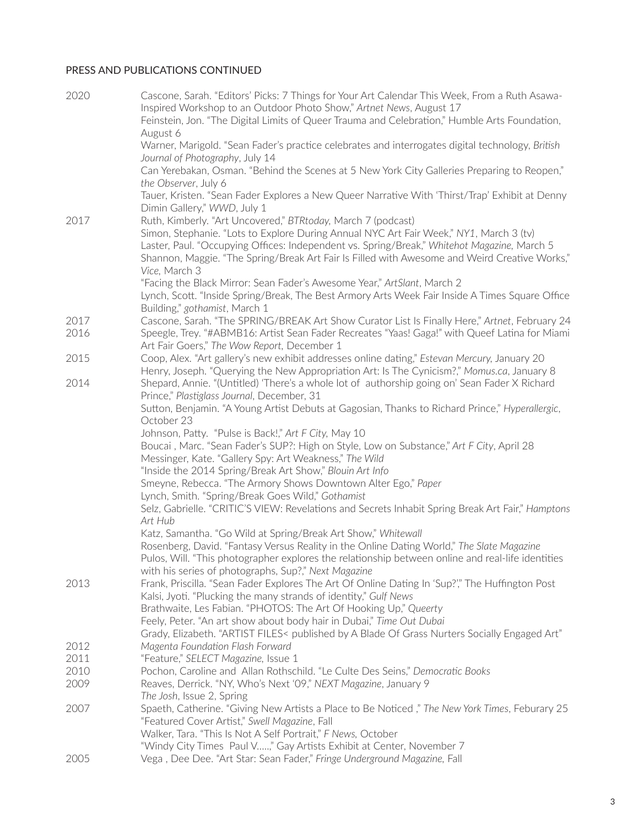## PRESS AND PUBLICATIONS CONTINUED

| 2020         | Cascone, Sarah. "Editors' Picks: 7 Things for Your Art Calendar This Week, From a Ruth Asawa-<br>Inspired Workshop to an Outdoor Photo Show," Artnet News, August 17<br>Feinstein, Jon. "The Digital Limits of Queer Trauma and Celebration," Humble Arts Foundation,<br>August 6                                                                                       |
|--------------|-------------------------------------------------------------------------------------------------------------------------------------------------------------------------------------------------------------------------------------------------------------------------------------------------------------------------------------------------------------------------|
|              | Warner, Marigold. "Sean Fader's practice celebrates and interrogates digital technology, British<br>Journal of Photography, July 14                                                                                                                                                                                                                                     |
|              | Can Yerebakan, Osman. "Behind the Scenes at 5 New York City Galleries Preparing to Reopen,"<br>the Observer, July 6                                                                                                                                                                                                                                                     |
|              | Tauer, Kristen. "Sean Fader Explores a New Queer Narrative With 'Thirst/Trap' Exhibit at Denny<br>Dimin Gallery," WWD, July 1                                                                                                                                                                                                                                           |
| 2017         | Ruth, Kimberly. "Art Uncovered," BTRtoday, March 7 (podcast)<br>Simon, Stephanie. "Lots to Explore During Annual NYC Art Fair Week," NY1, March 3 (tv)<br>Laster, Paul. "Occupying Offices: Independent vs. Spring/Break," Whitehot Magazine, March 5<br>Shannon, Maggie. "The Spring/Break Art Fair Is Filled with Awesome and Weird Creative Works,"<br>Vice, March 3 |
|              | "Facing the Black Mirror: Sean Fader's Awesome Year," ArtSlant, March 2<br>Lynch, Scott. "Inside Spring/Break, The Best Armory Arts Week Fair Inside A Times Square Office<br>Building," gothamist, March 1                                                                                                                                                             |
| 2017<br>2016 | Cascone, Sarah. "The SPRING/BREAK Art Show Curator List Is Finally Here," Artnet, February 24<br>Speegle, Trey. "#ABMB16: Artist Sean Fader Recreates "Yaas! Gaga!" with Queef Latina for Miami<br>Art Fair Goers," The Wow Report, December 1                                                                                                                          |
| 2015         | Coop, Alex. "Art gallery's new exhibit addresses online dating," Estevan Mercury, January 20<br>Henry, Joseph. "Querying the New Appropriation Art: Is The Cynicism?," Momus.ca, January 8                                                                                                                                                                              |
| 2014         | Shepard, Annie. "(Untitled) 'There's a whole lot of authorship going on' Sean Fader X Richard<br>Prince," Plastiglass Journal, December, 31                                                                                                                                                                                                                             |
|              | Sutton, Benjamin. "A Young Artist Debuts at Gagosian, Thanks to Richard Prince," Hyperallergic,<br>October 23                                                                                                                                                                                                                                                           |
|              | Johnson, Patty. "Pulse is Back!," Art F City, May 10                                                                                                                                                                                                                                                                                                                    |
|              | Boucai, Marc. "Sean Fader's SUP?: High on Style, Low on Substance," Art F City, April 28<br>Messinger, Kate. "Gallery Spy: Art Weakness," The Wild<br>"Inside the 2014 Spring/Break Art Show," Blouin Art Info                                                                                                                                                          |
|              | Smeyne, Rebecca. "The Armory Shows Downtown Alter Ego," Paper                                                                                                                                                                                                                                                                                                           |
|              | Lynch, Smith. "Spring/Break Goes Wild," Gothamist                                                                                                                                                                                                                                                                                                                       |
|              | Selz, Gabrielle. "CRITIC'S VIEW: Revelations and Secrets Inhabit Spring Break Art Fair," Hamptons<br>Art Hub                                                                                                                                                                                                                                                            |
|              | Katz, Samantha. "Go Wild at Spring/Break Art Show," Whitewall                                                                                                                                                                                                                                                                                                           |
|              | Rosenberg, David. "Fantasy Versus Reality in the Online Dating World," The Slate Magazine<br>Pulos, Will. "This photographer explores the relationship between online and real-life identities<br>with his series of photographs, Sup?," Next Magazine                                                                                                                  |
| 2013         | Frank, Priscilla. "Sean Fader Explores The Art Of Online Dating In 'Sup?'," The Huffington Post<br>Kalsi, Jyoti. "Plucking the many strands of identity," Gulf News                                                                                                                                                                                                     |
|              | Brathwaite, Les Fabian. "PHOTOS: The Art Of Hooking Up," Queerty                                                                                                                                                                                                                                                                                                        |
|              | Feely, Peter. "An art show about body hair in Dubai," Time Out Dubai<br>Grady, Elizabeth. "ARTIST FILES< published by A Blade Of Grass Nurters Socially Engaged Art"                                                                                                                                                                                                    |
| 2012         | Magenta Foundation Flash Forward                                                                                                                                                                                                                                                                                                                                        |
| 2011         | "Feature," SELECT Magazine, Issue 1                                                                                                                                                                                                                                                                                                                                     |
| 2010         | Pochon, Caroline and Allan Rothschild. "Le Culte Des Seins," Democratic Books                                                                                                                                                                                                                                                                                           |
| 2009         | Reaves, Derrick. "NY, Who's Next '09," NEXT Magazine, January 9                                                                                                                                                                                                                                                                                                         |
| 2007         | The Josh, Issue 2, Spring<br>Spaeth, Catherine. "Giving New Artists a Place to Be Noticed," The New York Times, Feburary 25                                                                                                                                                                                                                                             |
|              | "Featured Cover Artist," Swell Magazine, Fall                                                                                                                                                                                                                                                                                                                           |
|              | Walker, Tara. "This Is Not A Self Portrait," F News, October                                                                                                                                                                                                                                                                                                            |
|              | "Windy City Times Paul V," Gay Artists Exhibit at Center, November 7                                                                                                                                                                                                                                                                                                    |
| 2005         | Vega, Dee Dee. "Art Star: Sean Fader," Fringe Underground Magazine, Fall                                                                                                                                                                                                                                                                                                |